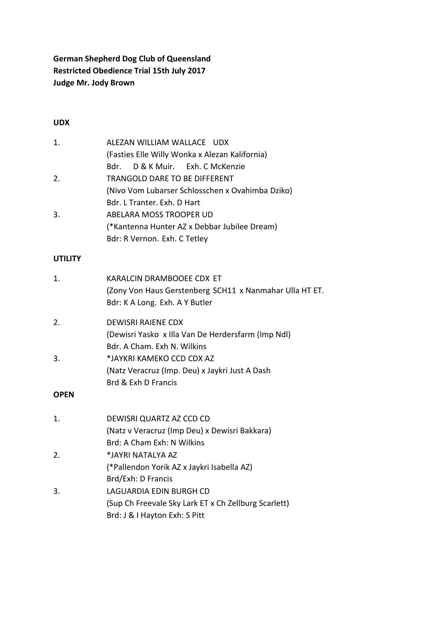# **German Shepherd Dog Club of Queensland Restricted Obedience Trial 15th July 2017 Judge Mr. Jody Brown**

#### **UDX**

| $\mathbf{1}$ . | ALEZAN WILLIAM WALLACE UDX                       |
|----------------|--------------------------------------------------|
|                | (Fasties Elle Willy Wonka x Alezan Kalifornia)   |
|                | Bdr. D & K Muir. Exh. C McKenzie                 |
| 2.             | TRANGOLD DARE TO BE DIFFERENT                    |
|                | (Nivo Vom Lubarser Schlosschen x Ovahimba Dziko) |
|                | Bdr. L Tranter. Exh. D Hart                      |
| 3.             | ABELARA MOSS TROOPER UD                          |
|                | (*Kantenna Hunter AZ x Debbar Jubilee Dream)     |
|                | Bdr: R Vernon. Exh. C Tetley                     |

#### **UTILITY**

| 1.             | KARALCIN DRAMBOOEE CDX ET<br>(Zony Von Haus Gerstenberg SCH11 x Nanmahar Ulla HT ET.<br>Bdr: K A Long. Exh. A Y Butler |
|----------------|------------------------------------------------------------------------------------------------------------------------|
| 2.             | <b>DEWISRI RAIENE CDX</b>                                                                                              |
|                | (Dewisri Yasko x Illa Van De Herdersfarm (Imp Ndl)                                                                     |
|                | Bdr. A Cham. Exh N. Wilkins                                                                                            |
| 3.             | *JAYKRI KAMEKO CCD CDX AZ                                                                                              |
|                | (Natz Veracruz (Imp. Deu) x Jaykri Just A Dash                                                                         |
|                | Brd & Exh D Francis                                                                                                    |
| <b>OPEN</b>    |                                                                                                                        |
| $\mathbf{1}$ . | DEWISRI QUARTZ AZ CCD CD                                                                                               |
|                | (Natz v Veracruz (Imp Deu) x Dewisri Bakkara)                                                                          |
|                | Brd: A Cham Exh: N Wilkins                                                                                             |
| 2.             | *JAYRI NATALYA AZ                                                                                                      |
|                | (*Pallendon Yorik AZ x Jaykri Isabella AZ)                                                                             |
|                | Brd/Exh: D Francis                                                                                                     |
| 3.             | LAGUARDIA EDIN BURGH CD                                                                                                |
|                | (Sup Ch Freevale Sky Lark ET x Ch Zellburg Scarlett)                                                                   |
|                | Brd: J & I Hayton Exh: S Pitt                                                                                          |